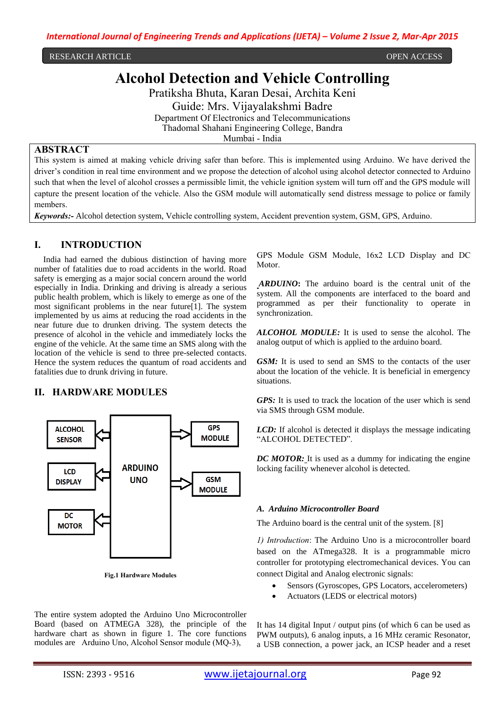RESEARCH ARTICLE OPEN ACCESS

# **Alcohol Detection and Vehicle Controlling**

Pratiksha Bhuta, Karan Desai, Archita Keni

Guide: Mrs. Vijayalakshmi Badre

Department Of Electronics and Telecommunications Thadomal Shahani Engineering College, Bandra Mumbai - India

### **ABSTRACT**

This system is aimed at making vehicle driving safer than before. This is implemented using Arduino. We have derived the driver's condition in real time environment and we propose the detection of alcohol using alcohol detector connected to Arduino such that when the level of alcohol crosses a permissible limit, the vehicle ignition system will turn off and the GPS module will capture the present location of the vehicle. Also the GSM module will automatically send distress message to police or family members.

*Keywords:-* Alcohol detection system, Vehicle controlling system, Accident prevention system, GSM, GPS, Arduino.

## **I. INTRODUCTION**

India had earned the dubious distinction of having more number of fatalities due to road accidents in the world. Road safety is emerging as a major social concern around the world especially in India. Drinking and driving is already a serious public health problem, which is likely to emerge as one of the most significant problems in the near future[1]. The system implemented by us aims at reducing the road accidents in the near future due to drunken driving. The system detects the presence of alcohol in the vehicle and immediately locks the engine of the vehicle. At the same time an SMS along with the location of the vehicle is send to three pre-selected contacts. Hence the system reduces the quantum of road accidents and fatalities due to drunk driving in future.

# **II. HARDWARE MODULES**



**Fig.1 Hardware Modules**

The entire system adopted the Arduino Uno Microcontroller Board (based on ATMEGA 328), the principle of the hardware chart as shown in figure 1. The core functions modules are Arduino Uno, Alcohol Sensor module (MQ-3),

GPS Module GSM Module, 16x2 LCD Display and DC Motor.

*ARDUINO***:** The arduino board is the central unit of the system. All the components are interfaced to the board and programmed as per their functionality to operate in synchronization.

*ALCOHOL MODULE:* It is used to sense the alcohol. The analog output of which is applied to the arduino board.

*GSM:* It is used to send an SMS to the contacts of the user about the location of the vehicle. It is beneficial in emergency situations.

*GPS:* It is used to track the location of the user which is send via SMS through GSM module.

*LCD:* If alcohol is detected it displays the message indicating "ALCOHOL DETECTED".

*DC MOTOR:* It is used as a dummy for indicating the engine locking facility whenever alcohol is detected.

#### *A. Arduino Microcontroller Board*

The Arduino board is the central unit of the system. [8]

*1) Introduction*: The Arduino Uno is a microcontroller board based on the ATmega328. It is a programmable micro controller for prototyping electromechanical devices. You can connect Digital and Analog electronic signals:

- Sensors (Gyroscopes, GPS Locators, accelerometers)
- Actuators (LEDS or electrical motors)

It has 14 digital Input / output pins (of which 6 can be used as PWM outputs), 6 analog inputs, a 16 MHz ceramic Resonator, a USB connection, a power jack, an ICSP header and a reset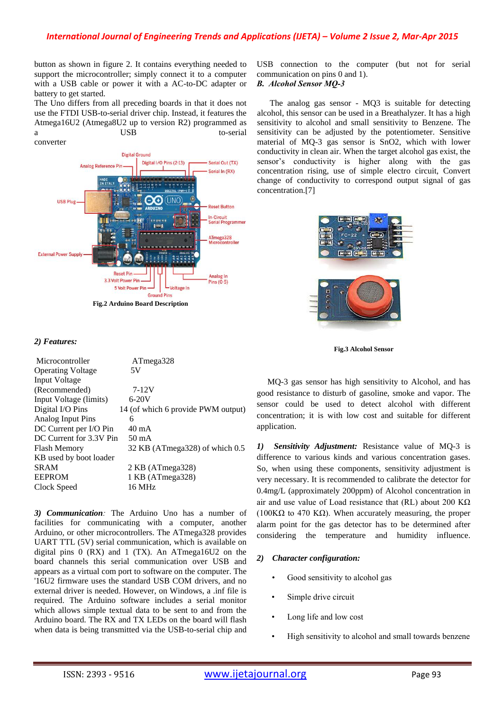button as shown in figure 2. It contains everything needed to support the microcontroller; simply connect it to a computer with a USB cable or power it with a AC-to-DC adapter or battery to get started.

The Uno differs from all preceding boards in that it does not use the FTDI USB-to-serial driver chip. Instead, it features the Atmega16U2 (Atmega8U2 up to version R2) programmed as a USB to-serial



## *2) Features:*

| Microcontroller          | ATmega328                          |
|--------------------------|------------------------------------|
| <b>Operating Voltage</b> | 5V                                 |
| Input Voltage            |                                    |
| (Recommended)            | 7-12V                              |
| Input Voltage (limits)   | $6 - 20V$                          |
| Digital I/O Pins         | 14 (of which 6 provide PWM output) |
| Analog Input Pins        | 6                                  |
| DC Current per I/O Pin   | 40 mA                              |
| DC Current for 3.3V Pin  | 50 mA                              |
| Flash Memory             | 32 KB (ATmega328) of which 0.5     |
| KB used by boot loader   |                                    |
| <b>SRAM</b>              | 2 KB (ATmega328)                   |
| <b>EEPROM</b>            | 1 KB (ATmega328)                   |
| Clock Speed              | 16 MHz                             |

*3) Communication:* The Arduino Uno has a number of facilities for communicating with a computer, another Arduino, or other microcontrollers. The ATmega328 provides UART TTL (5V) serial communication, which is available on digital pins  $0$  (RX) and  $1$  (TX). An ATmega16U2 on the board channels this serial communication over USB and appears as a virtual com port to software on the computer. The '16U2 firmware uses the standard USB COM drivers, and no external driver is needed. However, on Windows, a .inf file is required. The Arduino software includes a serial monitor which allows simple textual data to be sent to and from the Arduino board. The RX and TX LEDs on the board will flash when data is being transmitted via the USB-to-serial chip and USB connection to the computer (but not for serial communication on pins 0 and 1). *B. Alcohol Sensor MQ-3*

 The analog gas sensor - MQ3 is suitable for detecting alcohol, this sensor can be used in a Breathalyzer. It has a high sensitivity to alcohol and small sensitivity to Benzene. The sensitivity can be adjusted by the potentiometer. Sensitive material of MQ-3 gas sensor is SnO2, which with lower conductivity in clean air. When the target alcohol gas exist, the sensor's conductivity is higher along with the gas concentration rising, use of simple electro circuit, Convert change of conductivity to correspond output signal of gas concentration.[7]



**Fig.3 Alcohol Sensor**

 MQ-3 gas sensor has high sensitivity to Alcohol, and has good resistance to disturb of gasoline, smoke and vapor. The sensor could be used to detect alcohol with different concentration; it is with low cost and suitable for different application.

*1) Sensitivity Adjustment:* Resistance value of MQ-3 is difference to various kinds and various concentration gases. So, when using these components, sensitivity adjustment is very necessary. It is recommended to calibrate the detector for 0.4mg/L (approximately 200ppm) of Alcohol concentration in air and use value of Load resistance that (RL) about 200 K $\Omega$ ( $100\text{K}\Omega$  to 470 K $\Omega$ ). When accurately measuring, the proper alarm point for the gas detector has to be determined after considering the temperature and humidity influence.

## *2) Character configuration:*

- *•* Good sensitivity to alcohol gas
- Simple drive circuit
- Long life and low cost
- High sensitivity to alcohol and small towards benzene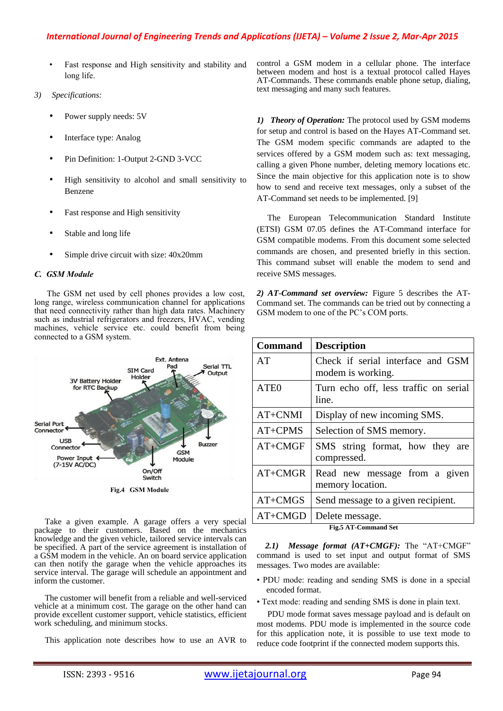## *International Journal of Engineering Trends and Applications (IJETA) – Volume 2 Issue 2, Mar-Apr 2015*

- Fast response and High sensitivity and stability and long life.
- *3) Specifications:*
	- Power supply needs: 5V
	- Interface type: Analog
	- Pin Definition: 1-Output 2-GND 3-VCC
	- High sensitivity to alcohol and small sensitivity to Benzene
	- Fast response and High sensitivity
	- Stable and long life
	- Simple drive circuit with size:  $40x20mm$

## *C. GSM Module*

 The GSM net used by cell phones provides a low cost, long range, wireless communication channel for applications that need connectivity rather than high data rates. Machinery such as industrial refrigerators and freezers, HVAC, vending machines, vehicle service etc. could benefit from being connected to a GSM system.



 Take a given example. A garage offers a very special package to their customers. Based on the mechanics knowledge and the given vehicle, tailored service intervals can be specified. A part of the service agreement is installation of a GSM modem in the vehicle. An on board service application can then notify the garage when the vehicle approaches its service interval. The garage will schedule an appointment and inform the customer.

 The customer will benefit from a reliable and well-serviced vehicle at a minimum cost. The garage on the other hand can provide excellent customer support, vehicle statistics, efficient work scheduling, and minimum stocks.

This application note describes how to use an AVR to

control a GSM modem in a cellular phone. The interface between modem and host is a textual protocol called Hayes AT-Commands. These commands enable phone setup, dialing, text messaging and many such features.

*1) Theory of Operation:* The protocol used by GSM modems for setup and control is based on the Hayes AT-Command set. The GSM modem specific commands are adapted to the services offered by a GSM modem such as: text messaging, calling a given Phone number, deleting memory locations etc. Since the main objective for this application note is to show how to send and receive text messages, only a subset of the AT-Command set needs to be implemented. [9]

The European Telecommunication Standard Institute (ETSI) GSM 07.05 defines the AT-Command interface for GSM compatible modems. From this document some selected commands are chosen, and presented briefly in this section. This command subset will enable the modem to send and receive SMS messages.

*2) AT-Command set overview:* Figure 5 describes the AT-Command set. The commands can be tried out by connecting a GSM modem to one of the PC's COM ports.

| <b>Description</b>                                     |
|--------------------------------------------------------|
| Check if serial interface and GSM<br>modem is working. |
| Turn echo off, less traffic on serial<br>line.         |
| Display of new incoming SMS.                           |
| Selection of SMS memory.                               |
| SMS string format, how they are<br>compressed.         |
| Read new message from a given<br>memory location.      |
| Send message to a given recipient.                     |
| Delete message.                                        |
|                                                        |

 *2.1) Message format (AT+CMGF):* The "AT+CMGF" command is used to set input and output format of SMS messages. Two modes are available:

- PDU mode: reading and sending SMS is done in a special encoded format.
- Text mode: reading and sending SMS is done in plain text.

 PDU mode format saves message payload and is default on most modems. PDU mode is implemented in the source code for this application note, it is possible to use text mode to reduce code footprint if the connected modem supports this.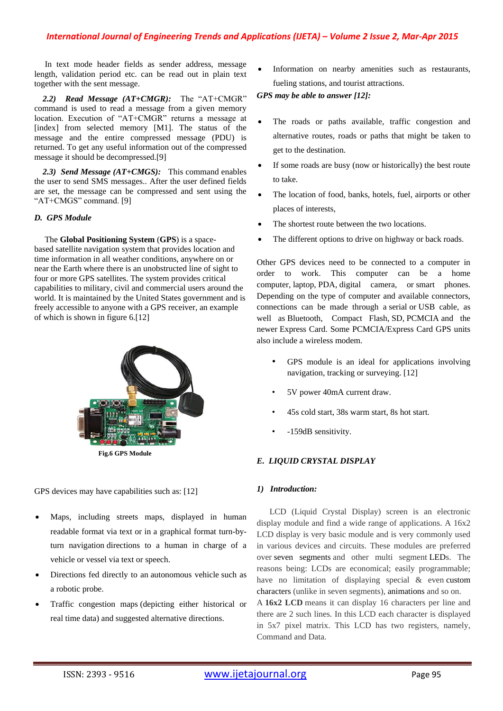## *International Journal of Engineering Trends and Applications (IJETA) – Volume 2 Issue 2, Mar-Apr 2015*

 In text mode header fields as sender address, message length, validation period etc. can be read out in plain text together with the sent message.

 *2.2) Read Message (AT+CMGR):* The "AT+CMGR" command is used to read a message from a given memory location. Execution of "AT+CMGR" returns a message at [index] from selected memory [M1]. The status of the message and the entire compressed message (PDU) is returned. To get any useful information out of the compressed message it should be decompressed.[9]

 *2.3) Send Message (AT+CMGS):* This command enables the user to send SMS messages.. After the user defined fields are set, the message can be compressed and sent using the "AT+CMGS" command. [9]

#### *D. GPS Module*

 The **Global Positioning System** (**GPS**) is a spacebased satellite navigation system that provides location and time information in all weather conditions, anywhere on or near the Earth where there is an unobstructed line of sight to four or more GPS satellites. The system provides critical capabilities to military, civil and commercial users around the world. It is maintained by the United States government and is freely accessible to anyone with a GPS receiver, an example of which is shown in figure 6.[12]



GPS devices may have capabilities such as: [12]

- Maps, including streets maps, displayed in human readable format via text or in a graphical format [turn-by](http://en.wikipedia.org/wiki/Turn-by-turn_navigation)[turn navigation](http://en.wikipedia.org/wiki/Turn-by-turn_navigation) directions to a human in charge of a vehicle or vessel via text or speech.
- Directions fed directly to an [autonomous vehicle](http://en.wikipedia.org/wiki/Autonomous_car) such as a robotic probe.
- [Traffic congestion maps](http://en.wikipedia.org/wiki/Traffic_congestion_map) (depicting either historical or real time data) and suggested alternative directions.

 Information on nearby amenities such as restaurants, fueling stations, and [tourist attractions.](http://en.wikipedia.org/wiki/Tourist_attraction)

*GPS may be able to answer [12]:*

- The roads or paths available, traffic congestion and alternative routes, roads or paths that might be taken to get to the destination.
- If some roads are busy (now or historically) the best route to take.
- The location of food, banks, hotels, fuel, airports or other places of interests,
- The shortest route between the two locations.
- The different options to drive on highway or back roads.

Other GPS devices need to be connected to a computer in order to work. This computer can be a [home](http://en.wikipedia.org/wiki/Home_computer)  [computer,](http://en.wikipedia.org/wiki/Home_computer) [laptop,](http://en.wikipedia.org/wiki/Laptop) [PDA,](http://en.wikipedia.org/wiki/Personal_digital_assistant) [digital camera,](http://en.wikipedia.org/wiki/Digital_camera) or [smart phones.](http://en.wikipedia.org/wiki/Smartphone) Depending on the type of computer and available connectors, connections can be made through a [serial](http://en.wikipedia.org/wiki/Serial_cable) or [USB](http://en.wikipedia.org/wiki/Universal_Serial_Bus) cable, as well as [Bluetooth,](http://en.wikipedia.org/wiki/Bluetooth) [Compact Flash,](http://en.wikipedia.org/wiki/CompactFlash) [SD,](http://en.wikipedia.org/wiki/Secure_Digital_card) [PCMCIA](http://en.wikipedia.org/wiki/PC_Card) and the newer [Express Card.](http://en.wikipedia.org/wiki/ExpressCard) Some PCMCIA/Express Card GPS units also include a [wireless modem.](http://en.wikipedia.org/wiki/Wireless_modem)

- GPS module is an ideal for applications involving navigation, tracking or surveying. [12]
- 5V power 40mA current draw.
- 45s cold start, 38s warm start, 8s hot start.
- -159dB sensitivity.

#### *E. LIQUID CRYSTAL DISPLAY*

#### *1) Introduction:*

LCD (Liquid Crystal Display) screen is an electronic display module and find a wide range of applications. A 16x2 LCD display is very basic module and is very commonly used in various devices and circuits. These modules are preferred over [seven segments](http://www.engineersgarage.com/content/seven-segment-display) and other multi segment [LEDs](http://www.engineersgarage.com/content/led). The reasons being: LCDs are economical; easily programmable; have no limitation of displaying special & even [custom](http://www.engineersgarage.com/microcontroller/8051projects/create-custom-characters-LCD-AT89C51)  [characters](http://www.engineersgarage.com/microcontroller/8051projects/create-custom-characters-LCD-AT89C51) (unlike in seven segments), [animations](http://www.engineersgarage.com/microcontroller/8051projects/display-custom-animations-LCD-AT89C51) and so on.

A **16x2 LCD** means it can display 16 characters per line and there are 2 such lines. In this LCD each character is displayed in 5x7 pixel matrix. This LCD has two registers, namely, Command and Data.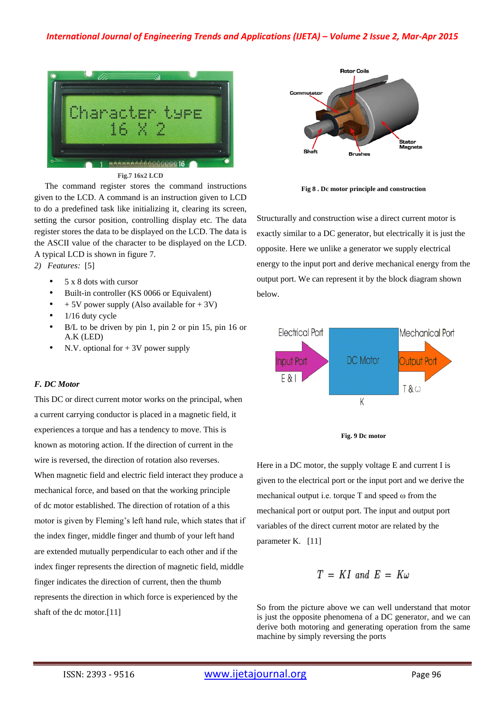

**Fig.7 16x2 LCD**

 The command register stores the command instructions given to the LCD. A command is an instruction given to LCD to do a predefined task like initializing it, clearing its screen, setting the cursor position, controlling display etc. The data register stores the data to be displayed on the LCD. The data is the ASCII value of the character to be displayed on the LCD. A typical LCD is shown in figure 7.

*2) Features:* [5]

- 5 x 8 dots with cursor
- Built-in controller (KS 0066 or Equivalent)
- + 5V power supply (Also available for + 3V)
- $1/16$  duty cycle
- B/L to be driven by pin 1, pin 2 or pin 15, pin 16 or A.K (LED)
- N.V. optional for  $+ 3V$  power supply

#### *F. DC Motor*

This DC or direct [current](http://www.electrical4u.com/electric-current-and-theory-of-electricity/) motor works on the principal, when a [current](http://www.electrical4u.com/electric-current-and-theory-of-electricity/) carrying conductor is placed in a [magnetic field,](http://www.electrical4u.com/what-is-magnetic-field/) it experiences a torque and has a tendency to move. This is known as motoring action. If the direction of [current](http://www.electrical4u.com/electric-current-and-theory-of-electricity/) in the wire is reversed, the direction of rotation also reverses. When [magnetic field](http://www.electrical4u.com/what-is-magnetic-field/) and electric field interact they produce a mechanical force, and based on that the working principle of dc motor established. The direction of rotation of a this motor is given by Fleming's left hand rule, which states that if the index finger, middle finger and thumb of your left hand are extended mutually perpendicular to each other and if the index finger represents the direction of [magnetic field,](http://www.electrical4u.com/what-is-magnetic-field/) middle finger indicates the direction of current, then the thumb represents the direction in which force is experienced by the shaft of the dc motor.[11]



**Fig 8 . Dc motor principle and construction**

Structurally and construction wise a direct [current](http://www.electrical4u.com/electric-current-and-theory-of-electricity/) motor is exactly similar to a [DC generator,](http://www.electrical4u.com/principle-of-dc-generator/) but electrically it is just the opposite. Here we unlike a generator we supply electrical energy to the input port and derive mechanical energy from the output port. We can represent it by the block diagram shown below.





Here in a DC motor, the supply [voltage](http://www.electrical4u.com/voltage-or-electric-potential-difference/) E and [current](http://www.electrical4u.com/electric-current-and-theory-of-electricity/) I is given to the electrical port or the input port and we derive the mechanical output i.e. torque T and speed ω from the mechanical port or output port. The input and output port variables of the direct [current](http://www.electrical4u.com/electric-current-and-theory-of-electricity/) motor are related by the parameter K. [11]

$$
T = KI \text{ and } E = K\omega
$$

So from the picture above we can well understand that motor is just the opposite phenomena of a [DC generator,](http://www.electrical4u.com/principle-of-dc-generator/) and we can derive both motoring and generating operation from the same machine by simply reversing the ports